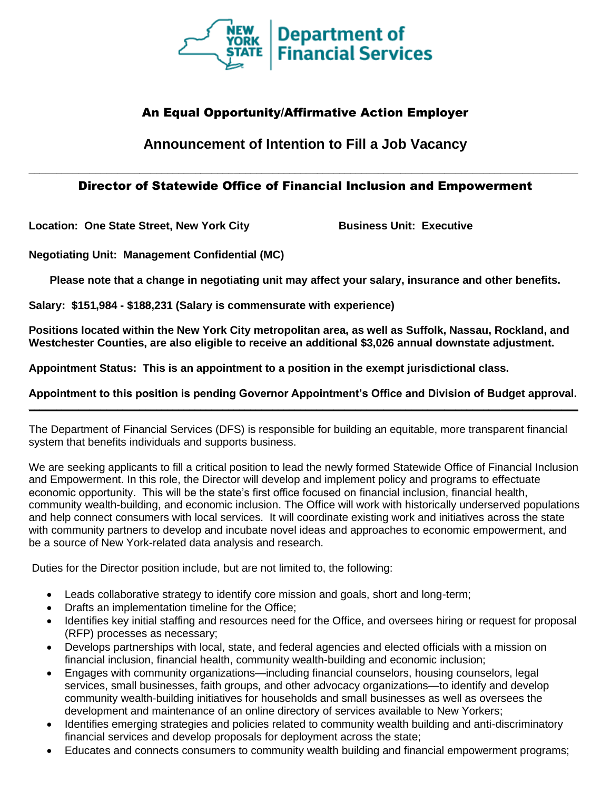

## An Equal Opportunity/Affirmative Action Employer

# **Announcement of Intention to Fill a Job Vacancy**

## **\_\_\_\_\_\_\_\_\_\_\_\_\_\_\_\_\_\_\_\_\_\_\_\_\_\_\_\_\_\_\_\_\_\_\_\_\_\_\_\_\_\_\_\_\_\_\_\_\_\_\_\_\_\_\_\_\_\_\_\_\_\_\_\_\_\_\_\_\_\_\_\_\_\_\_\_\_\_\_\_\_\_\_\_\_\_\_\_\_\_\_\_\_\_\_\_\_\_\_** Director of Statewide Office of Financial Inclusion and Empowerment

**Location: One State Street, New York City <b>Business Unit: Executive** 

**Negotiating Unit: Management Confidential (MC)**

**Please note that a change in negotiating unit may affect your salary, insurance and other benefits.**

**Salary: \$151,984 - \$188,231 (Salary is commensurate with experience)**

**Positions located within the New York City metropolitan area, as well as Suffolk, Nassau, Rockland, and Westchester Counties, are also eligible to receive an additional \$3,026 annual downstate adjustment.**

**Appointment Status: This is an appointment to a position in the exempt jurisdictional class.**

**Appointment to this position is pending Governor Appointment's Office and Division of Budget approval. \_\_\_\_\_\_\_\_\_\_\_\_\_\_\_\_\_\_\_\_\_\_\_\_\_\_\_\_\_\_\_\_\_\_\_\_\_\_\_\_\_\_\_\_\_\_\_\_\_\_\_\_\_\_\_\_\_\_\_\_\_\_\_\_\_\_\_\_\_\_\_\_\_\_\_\_\_\_\_\_\_\_\_\_\_\_\_\_\_\_\_\_\_\_\_\_\_\_\_**

The Department of Financial Services (DFS) is responsible for building an equitable, more transparent financial system that benefits individuals and supports business.

We are seeking applicants to fill a critical position to lead the newly formed Statewide Office of Financial Inclusion and Empowerment. In this role, the Director will develop and implement policy and programs to effectuate economic opportunity. This will be the state's first office focused on financial inclusion, financial health, community wealth-building, and economic inclusion. The Office will work with historically underserved populations and help connect consumers with local services. It will coordinate existing work and initiatives across the state with community partners to develop and incubate novel ideas and approaches to economic empowerment, and be a source of New York-related data analysis and research.

Duties for the Director position include, but are not limited to, the following:

- Leads collaborative strategy to identify core mission and goals, short and long-term;
- Drafts an implementation timeline for the Office;
- Identifies key initial staffing and resources need for the Office, and oversees hiring or request for proposal (RFP) processes as necessary;
- Develops partnerships with local, state, and federal agencies and elected officials with a mission on financial inclusion, financial health, community wealth-building and economic inclusion;
- Engages with community organizations—including financial counselors, housing counselors, legal services, small businesses, faith groups, and other advocacy organizations—to identify and develop community wealth-building initiatives for households and small businesses as well as oversees the development and maintenance of an online directory of services available to New Yorkers;
- Identifies emerging strategies and policies related to community wealth building and anti-discriminatory financial services and develop proposals for deployment across the state;
- Educates and connects consumers to community wealth building and financial empowerment programs;